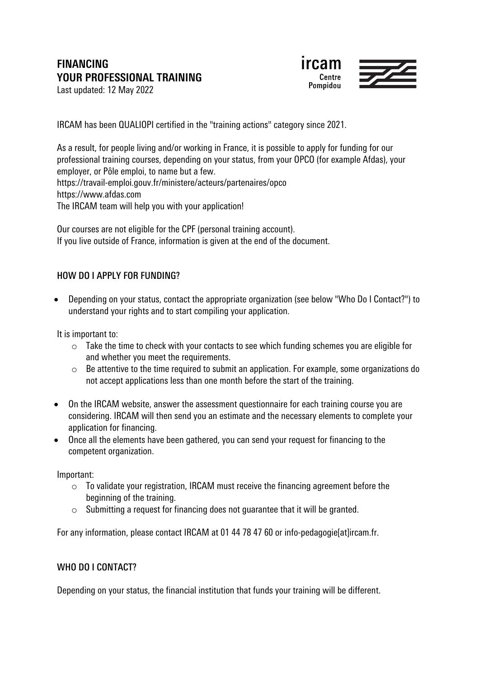# **FINANCING YOUR PROFESSIONAL TRAINING**



Last updated: 12 May 2022

IRCAM has been QUALIOPI certified in the "training actions" category since 2021.

As a result, for people living and/or working in France, it is possible to apply for funding for our professional training courses, depending on your status, from your OPCO (for example Afdas), your employer, or Pôle emploi, to name but a few. https://travail-emploi.gouv.fr/ministere/acteurs/partenaires/opco https://www.afdas.com The IRCAM team will help you with your application!

Our courses are not eligible for the CPF (personal training account). If you live outside of France, information is given at the end of the document.

# HOW DO I APPLY FOR FUNDING?

• Depending on your status, contact the appropriate organization (see below "Who Do I Contact?") to understand your rights and to start compiling your application.

It is important to:

- $\circ$  Take the time to check with your contacts to see which funding schemes you are eligible for and whether you meet the requirements.
- o Be attentive to the time required to submit an application. For example, some organizations do not accept applications less than one month before the start of the training.
- On the IRCAM website, answer the assessment questionnaire for each training course you are considering. IRCAM will then send you an estimate and the necessary elements to complete your application for financing.
- Once all the elements have been gathered, you can send your request for financing to the competent organization.

Important:

- o To validate your registration, IRCAM must receive the financing agreement before the beginning of the training.
- $\circ$  Submitting a request for financing does not quarantee that it will be granted.

For any information, please contact IRCAM at 01 44 78 47 60 or info-pedagogie[at]ircam.fr.

#### WHO DO I CONTACT?

Depending on your status, the financial institution that funds your training will be different.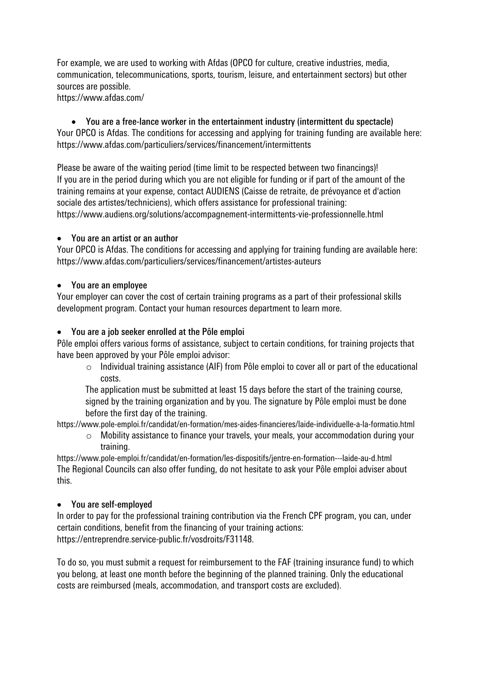For example, we are used to working with Afdas (OPCO for culture, creative industries, media, communication, telecommunications, sports, tourism, leisure, and entertainment sectors) but other sources are possible.

https://www.afdas.com/

• You are a free-lance worker in the entertainment industry (intermittent du spectacle) Your OPCO is Afdas. The conditions for accessing and applying for training funding are available here: https://www.afdas.com/particuliers/services/financement/intermittents

Please be aware of the waiting period (time limit to be respected between two financings)! If you are in the period during which you are not eligible for funding or if part of the amount of the training remains at your expense, contact AUDIENS (Caisse de retraite, de prévoyance et d'action sociale des artistes/techniciens), which offers assistance for professional training: https://www.audiens.org/solutions/accompagnement-intermittents-vie-professionnelle.html

## • You are an artist or an author

Your OPCO is Afdas. The conditions for accessing and applying for training funding are available here: https://www.afdas.com/particuliers/services/financement/artistes-auteurs

## • You are an employee

Your employer can cover the cost of certain training programs as a part of their professional skills development program. Contact your human resources department to learn more.

## • You are a job seeker enrolled at the Pôle emploi

Pôle emploi offers various forms of assistance, subject to certain conditions, for training projects that have been approved by your Pôle emploi advisor:

 $\circ$  Individual training assistance (AIF) from Pôle emploi to cover all or part of the educational costs.

The application must be submitted at least 15 days before the start of the training course, signed by the training organization and by you. The signature by Pôle emploi must be done before the first day of the training.

https://www.pole-emploi.fr/candidat/en-formation/mes-aides-financieres/laide-individuelle-a-la-formatio.html

o Mobility assistance to finance your travels, your meals, your accommodation during your training.

https://www.pole-emploi.fr/candidat/en-formation/les-dispositifs/jentre-en-formation---laide-au-d.html The Regional Councils can also offer funding, do not hesitate to ask your Pôle emploi adviser about this.

# • You are self-employed

In order to pay for the professional training contribution via the French CPF program, you can, under certain conditions, benefit from the financing of your training actions: https://entreprendre.service-public.fr/vosdroits/F31148.

To do so, you must submit a request for reimbursement to the FAF (training insurance fund) to which you belong, at least one month before the beginning of the planned training. Only the educational costs are reimbursed (meals, accommodation, and transport costs are excluded).